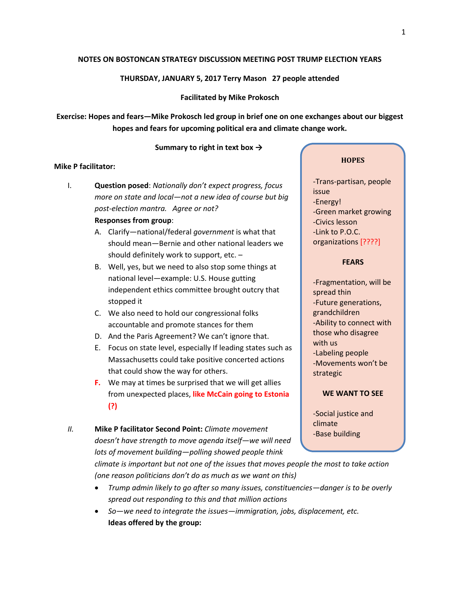### **NOTES ON BOSTONCAN STRATEGY DISCUSSION MEETING POST TRUMP ELECTION YEARS**

#### **THURSDAY, JANUARY 5, 2017 Terry Mason 27 people attended**

**Facilitated by Mike Prokosch** 

**Exercise: Hopes and fears—Mike Prokosch led group in brief one on one exchanges about our biggest hopes and fears for upcoming political era and climate change work.**

**Summary to right in text box**  $\rightarrow$ 

#### **Mike P facilitator:**

I. **Question posed**: *Nationally don't expect progress, focus more on state and local—not a new idea of course but big post-election mantra. Agree or not?*

### **Responses from group**:

- A. Clarify—national/federal *government* is what that should mean—Bernie and other national leaders we should definitely work to support, etc. –
- B. Well, yes, but we need to also stop some things at national level—example: U.S. House gutting independent ethics committee brought outcry that stopped it
- C. We also need to hold our congressional folks accountable and promote stances for them
- D. And the Paris Agreement? We can't ignore that.
- E. Focus on state level, especially If leading states such as Massachusetts could take positive concerted actions that could show the way for others.
- **F.** We may at times be surprised that we will get allies from unexpected places, **like McCain going to Estonia (?)**
- *II.* **Mike P facilitator Second Point:** *Climate movement doesn't have strength to move agenda itself—we will need lots of movement building—polling showed people think*

*climate is important but not one of the issues that moves people the most to take action (one reason politicians don't do as much as we want on this)*

- *Trump admin likely to go after so many issues, constituencies—danger is to be overly spread out responding to this and that million actions*
- *So—we need to integrate the issues—immigration, jobs, displacement, etc.*  **Ideas offered by the group:**

### **HOPES**

-Trans-partisan, people issue -Energy! -Green market growing -Civics lesson -Link to P.O.C. organizations [????]

#### **FEARS**

-Fragmentation, will be spread thin -Future generations, grandchildren -Ability to connect with those who disagree with us -Labeling people -Movements won't be strategic

### **WE WANT TO SEE**

-Social justice and climate -Base building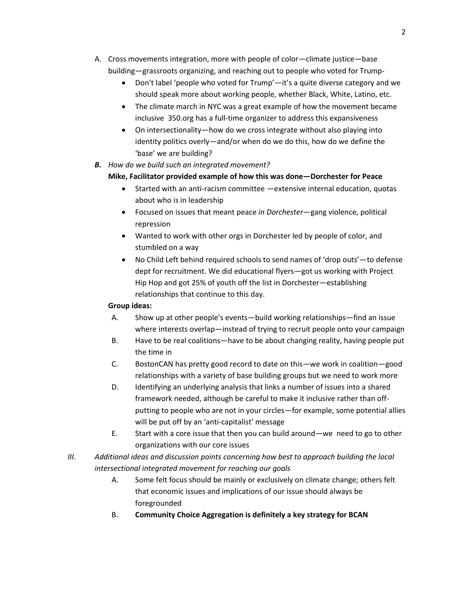- A. Cross movements integration, more with people of color—climate justice—base building—grassroots organizing, and reaching out to people who voted for Trump-
	- Don't label 'people who voted for Trump'—it's a quite diverse category and we should speak more about working people, whether Black, White, Latino, etc.
	- The climate march in NYC was a great example of how the movement became inclusive 350.org has a full-time organizer to address this expansiveness
	- On intersectionality—how do we cross integrate without also playing into identity politics overly—and/or when do we do this, how do we define the 'base' we are building?
- *B. How do we build such an integrated movement?*

## **Mike, Facilitator provided example of how this was done—Dorchester for Peace**

- Started with an anti-racism committee —extensive internal education, quotas about who is in leadership
- Focused on issues that meant peace *in Dorchester*—gang violence, political repression
- Wanted to work with other orgs in Dorchester led by people of color, and stumbled on a way
- No Child Left behind required schools to send names of 'drop outs'—to defense dept for recruitment. We did educational flyers—got us working with Project Hip Hop and got 25% of youth off the list in Dorchester—establishing relationships that continue to this day.

## **Group ideas:**

- A. Show up at other people's events—build working relationships—find an issue where interests overlap—instead of trying to recruit people onto your campaign
- B. Have to be real coalitions—have to be about changing reality, having people put the time in
- C. BostonCAN has pretty good record to date on this—we work in coalition—good relationships with a variety of base building groups but we need to work more
- D. Identifying an underlying analysis that links a number of issues into a shared framework needed, although be careful to make it inclusive rather than offputting to people who are not in your circles—for example, some potential allies will be put off by an 'anti-capitalist' message
- E. Start with a core issue that then you can build around—we need to go to other organizations with our core issues
- *III. Additional ideas and discussion points concerning how best to approach building the local intersectional integrated movement for reaching our goals*
	- A. Some felt focus should be mainly or exclusively on climate change; others felt that economic issues and implications of our issue should always be foregrounded
	- B. **Community Choice Aggregation is definitely a key strategy for BCAN**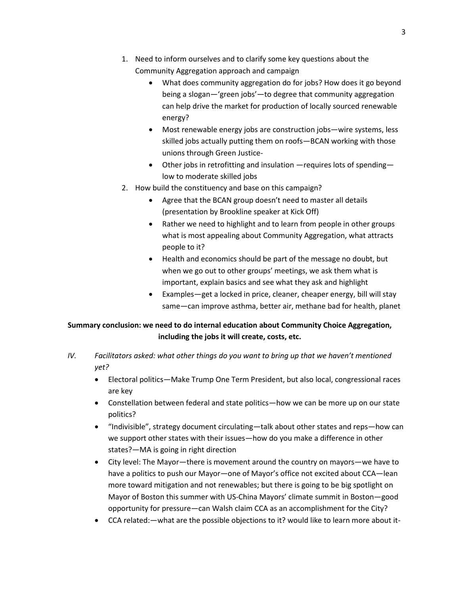- 1. Need to inform ourselves and to clarify some key questions about the Community Aggregation approach and campaign
	- What does community aggregation do for jobs? How does it go beyond being a slogan—'green jobs'—to degree that community aggregation can help drive the market for production of locally sourced renewable energy?
	- Most renewable energy jobs are construction jobs—wire systems, less skilled jobs actually putting them on roofs—BCAN working with those unions through Green Justice-
	- Other jobs in retrofitting and insulation —requires lots of spending low to moderate skilled jobs
- 2. How build the constituency and base on this campaign?
	- Agree that the BCAN group doesn't need to master all details (presentation by Brookline speaker at Kick Off)
	- Rather we need to highlight and to learn from people in other groups what is most appealing about Community Aggregation, what attracts people to it?
	- Health and economics should be part of the message no doubt, but when we go out to other groups' meetings, we ask them what is important, explain basics and see what they ask and highlight
	- Examples—get a locked in price, cleaner, cheaper energy, bill will stay same—can improve asthma, better air, methane bad for health, planet

# **Summary conclusion: we need to do internal education about Community Choice Aggregation, including the jobs it will create, costs, etc.**

- *IV.* Facilitators asked: what other things do you want to bring up that we haven't mentioned *yet?*
	- Electoral politics—Make Trump One Term President, but also local, congressional races are key
	- Constellation between federal and state politics—how we can be more up on our state politics?
	- "Indivisible", strategy document circulating—talk about other states and reps—how can we support other states with their issues—how do you make a difference in other states?—MA is going in right direction
	- City level: The Mayor—there is movement around the country on mayors—we have to have a politics to push our Mayor—one of Mayor's office not excited about CCA—lean more toward mitigation and not renewables; but there is going to be big spotlight on Mayor of Boston this summer with US-China Mayors' climate summit in Boston—good opportunity for pressure—can Walsh claim CCA as an accomplishment for the City?
	- CCA related:—what are the possible objections to it? would like to learn more about it-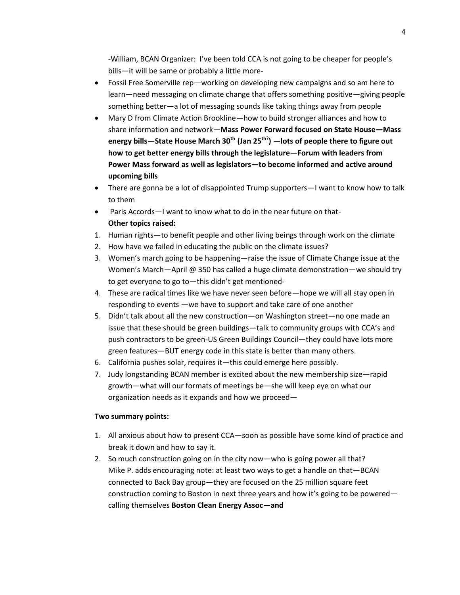-William, BCAN Organizer: I've been told CCA is not going to be cheaper for people's bills—it will be same or probably a little more-

- Fossil Free Somerville rep—working on developing new campaigns and so am here to learn—need messaging on climate change that offers something positive—giving people something better—a lot of messaging sounds like taking things away from people
- Mary D from Climate Action Brookline—how to build stronger alliances and how to share information and network—**Mass Power Forward focused on State House—Mass energy bills—State House March 30th (Jan 25 th? ) —lots of people there to figure out how to get better energy bills through the legislature—Forum with leaders from Power Mass forward as well as legislators—to become informed and active around upcoming bills**
- There are gonna be a lot of disappointed Trump supporters—I want to know how to talk to them
- Paris Accords—I want to know what to do in the near future on that-**Other topics raised:**
- 1. Human rights—to benefit people and other living beings through work on the climate
- 2. How have we failed in educating the public on the climate issues?
- 3. Women's march going to be happening—raise the issue of Climate Change issue at the Women's March—April @ 350 has called a huge climate demonstration—we should try to get everyone to go to—this didn't get mentioned-
- 4. These are radical times like we have never seen before—hope we will all stay open in responding to events —we have to support and take care of one another
- 5. Didn't talk about all the new construction—on Washington street—no one made an issue that these should be green buildings—talk to community groups with CCA's and push contractors to be green-US Green Buildings Council—they could have lots more green features—BUT energy code in this state is better than many others.
- 6. California pushes solar, requires it—this could emerge here possibly.
- 7. Judy longstanding BCAN member is excited about the new membership size—rapid growth—what will our formats of meetings be—she will keep eye on what our organization needs as it expands and how we proceed—

### **Two summary points:**

- 1. All anxious about how to present CCA—soon as possible have some kind of practice and break it down and how to say it.
- 2. So much construction going on in the city now—who is going power all that? Mike P. adds encouraging note: at least two ways to get a handle on that—BCAN connected to Back Bay group—they are focused on the 25 million square feet construction coming to Boston in next three years and how it's going to be powered calling themselves **Boston Clean Energy Assoc—and**